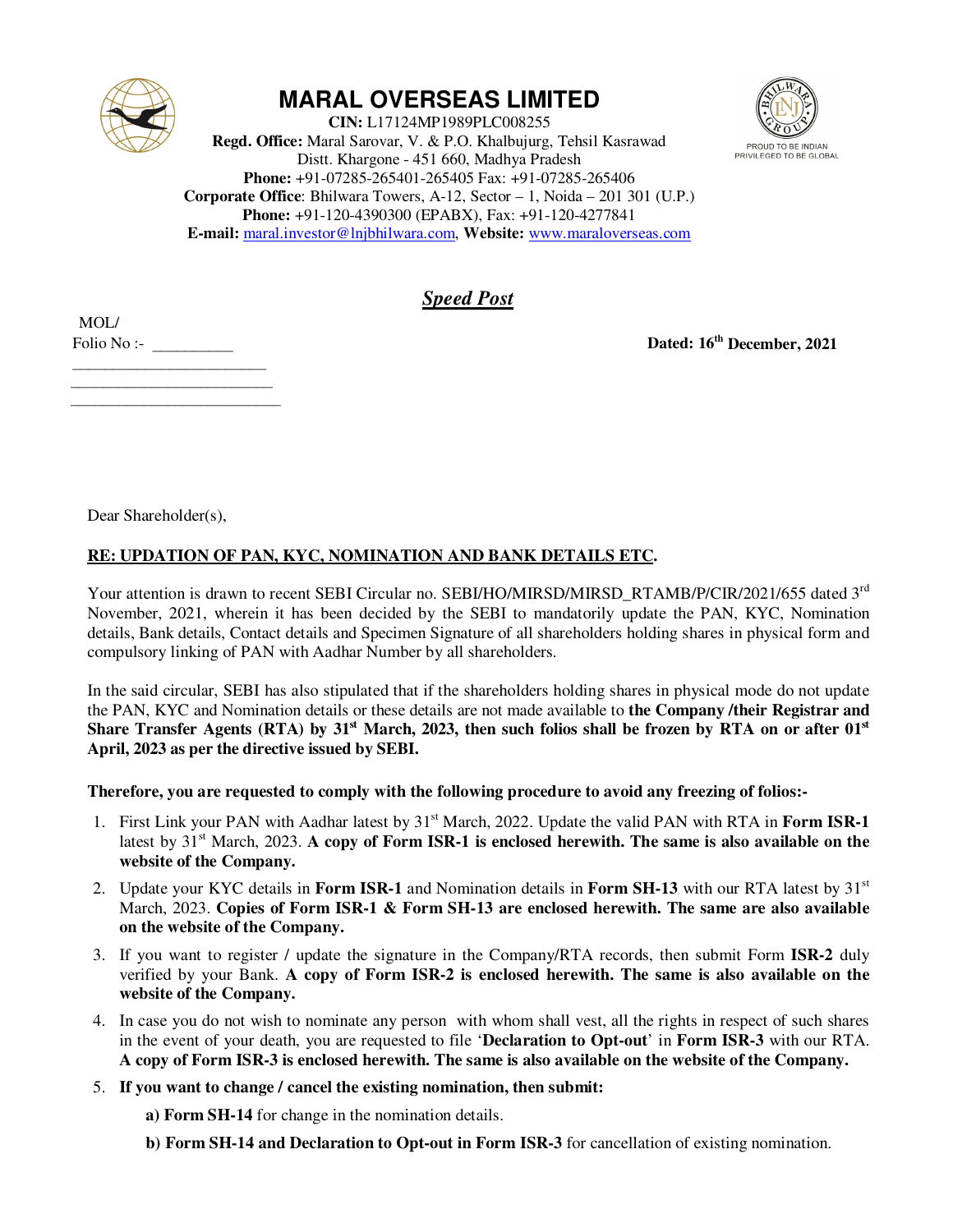

## **MARAL OVERSEAS LIMITED**

**CIN:** L17124MP1989PLC008255 **Regd. Office:** Maral Sarovar, V. & P.O. Khalbujurg, Tehsil Kasrawad Distt. Khargone - 451 660, Madhya Pradesh **Phone:** +91-07285-265401-265405 Fax: +91-07285-265406 **Corporate Office**: Bhilwara Towers, A-12, Sector – 1, Noida – 201 301 (U.P.) **Phone:** +91-120-4390300 (EPABX), Fax: +91-120-4277841 **E-mail:** maral.investor@lnjbhilwara.com, **Website:** www.maraloverseas.com



*Speed Post*

 MOL/  $Folio No:$ 

 $\overline{\phantom{a}}$  , where  $\overline{\phantom{a}}$  $\mathcal{L}_\text{max}$  , where  $\mathcal{L}_\text{max}$  , we have the set of  $\mathcal{L}_\text{max}$ 

 $\mathcal{L}_\text{max}$  , where  $\mathcal{L}_\text{max}$  , we have the set of  $\mathcal{L}_\text{max}$ 

**Dated: 16th December, 2021**

Dear Shareholder(s),

## **RE: UPDATION OF PAN, KYC, NOMINATION AND BANK DETAILS ETC.**

Your attention is drawn to recent SEBI Circular no. SEBI/HO/MIRSD/MIRSD\_RTAMB/P/CIR/2021/655 dated 3<sup>rd</sup> November, 2021, wherein it has been decided by the SEBI to mandatorily update the PAN, KYC, Nomination details, Bank details, Contact details and Specimen Signature of all shareholders holding shares in physical form and compulsory linking of PAN with Aadhar Number by all shareholders.

In the said circular, SEBI has also stipulated that if the shareholders holding shares in physical mode do not update the PAN, KYC and Nomination details or these details are not made available to **the Company /their Registrar and Share Transfer Agents (RTA) by 31st March, 2023, then such folios shall be frozen by RTA on or after 01st April, 2023 as per the directive issued by SEBI.** 

**Therefore, you are requested to comply with the following procedure to avoid any freezing of folios:-** 

- 1. First Link your PAN with Aadhar latest by 31st March, 2022. Update the valid PAN with RTA in **Form ISR-1** latest by 31<sup>st</sup> March, 2023. A copy of Form ISR-1 is enclosed herewith. The same is also available on the **website of the Company.**
- 2. Update your KYC details in **Form ISR-1** and Nomination details in **Form SH-13** with our RTA latest by 31<sup>st</sup> March, 2023. **Copies of Form ISR-1 & Form SH-13 are enclosed herewith. The same are also available on the website of the Company.**
- 3. If you want to register / update the signature in the Company/RTA records, then submit Form **ISR-2** duly verified by your Bank. **A copy of Form ISR-2 is enclosed herewith. The same is also available on the website of the Company.**
- 4. In case you do not wish to nominate any person with whom shall vest, all the rights in respect of such shares in the event of your death, you are requested to file '**Declaration to Opt-out**' in **Form ISR-3** with our RTA. **A copy of Form ISR-3 is enclosed herewith. The same is also available on the website of the Company.**
- 5. **If you want to change / cancel the existing nomination, then submit:**

**a) Form SH-14** for change in the nomination details.

**b) Form SH-14 and Declaration to Opt-out in Form ISR-3** for cancellation of existing nomination.